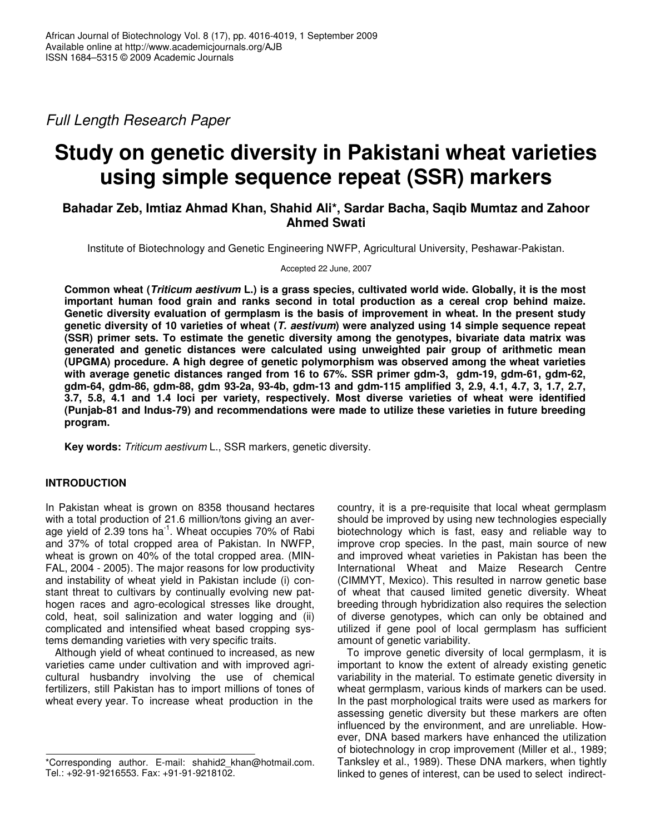*Full Length Research Paper*

# **Study on genetic diversity in Pakistani wheat varieties using simple sequence repeat (SSR) markers**

# **Bahadar Zeb, Imtiaz Ahmad Khan, Shahid Ali\*, Sardar Bacha, Saqib Mumtaz and Zahoor Ahmed Swati**

Institute of Biotechnology and Genetic Engineering NWFP, Agricultural University, Peshawar-Pakistan.

Accepted 22 June, 2007

Common wheat (Triticum aestivum L.) is a grass species, cultivated world wide. Globally, it is the most **important human food grain and ranks second in total production as a cereal crop behind maize. Genetic diversity evaluation of germplasm is the basis of improvement in wheat. In the present study** genetic diversity of 10 varieties of wheat (T. aestivum) were analyzed using 14 simple sequence repeat **(SSR) primer sets. To estimate the genetic diversity among the genotypes, bivariate data matrix was generated and genetic distances were calculated using unweighted pair group of arithmetic mean (UPGMA) procedure. A high degree of genetic polymorphism was observed among the wheat varieties with average genetic distances ranged from 16 to 67%. SSR primer gdm-3, gdm-19, gdm-61, gdm-62, gdm-64, gdm-86, gdm-88, gdm 93-2a, 93-4b, gdm-13 and gdm-115 amplified 3, 2.9, 4.1, 4.7, 3, 1.7, 2.7, 3.7, 5.8, 4.1 and 1.4 loci per variety, respectively. Most diverse varieties of wheat were identified (Punjab-81 and Indus-79) and recommendations were made to utilize these varieties in future breeding program.**

**Key words:** *Triticum aestivum* L., SSR markers, genetic diversity.

## **INTRODUCTION**

In Pakistan wheat is grown on 8358 thousand hectares with a total production of 21.6 million/tons giving an average yield of 2.39 tons ha<sup>-1</sup>. Wheat occupies 70% of Rabi and 37% of total cropped area of Pakistan. In NWFP, wheat is grown on 40% of the total cropped area. (MIN-FAL, 2004 - 2005). The major reasons for low productivity and instability of wheat yield in Pakistan include (i) constant threat to cultivars by continually evolving new pathogen races and agro-ecological stresses like drought, cold, heat, soil salinization and water logging and (ii) complicated and intensified wheat based cropping systems demanding varieties with very specific traits.

Although yield of wheat continued to increased, as new varieties came under cultivation and with improved agricultural husbandry involving the use of chemical fertilizers, still Pakistan has to import millions of tones of wheat every year. To increase wheat production in the

country, it is a pre-requisite that local wheat germplasm should be improved by using new technologies especially biotechnology which is fast, easy and reliable way to improve crop species. In the past, main source of new and improved wheat varieties in Pakistan has been the International Wheat and Maize Research Centre (CIMMYT, Mexico). This resulted in narrow genetic base of wheat that caused limited genetic diversity. Wheat breeding through hybridization also requires the selection of diverse genotypes, which can only be obtained and utilized if gene pool of local germplasm has sufficient amount of genetic variability.

To improve genetic diversity of local germplasm, it is important to know the extent of already existing genetic variability in the material. To estimate genetic diversity in wheat germplasm, various kinds of markers can be used. In the past morphological traits were used as markers for assessing genetic diversity but these markers are often influenced by the environment, and are unreliable. However, DNA based markers have enhanced the utilization of biotechnology in crop improvement (Miller et al., 1989; Tanksley et al., 1989). These DNA markers, when tightly linked to genes of interest, can be used to select indirect-

<sup>\*</sup>Corresponding author. E-mail: shahid2\_khan@hotmail.com. Tel.: +92-91-9216553. Fax: +91-91-9218102.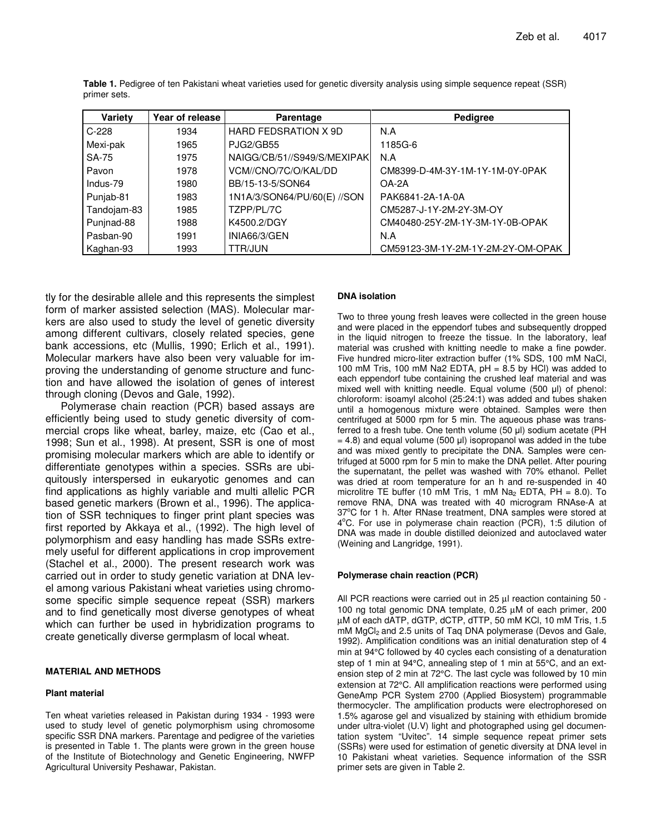| Variety     | Year of release | <b>Parentage</b>             | Pedigree                          |  |  |
|-------------|-----------------|------------------------------|-----------------------------------|--|--|
| $C-228$     | 1934            | <b>HARD FEDSRATION X 9D</b>  | N.A                               |  |  |
| Mexi-pak    | 1965            | <b>PJG2/GB55</b>             | 1185G-6                           |  |  |
| SA-75       | 1975            | NAIGG/CB/51//S949/S/MEXIPAKI | N.A                               |  |  |
| Pavon       | 1978            | VCM//CNO/7C/O/KAL/DD         | CM8399-D-4M-3Y-1M-1Y-1M-0Y-0PAK   |  |  |
| Indus-79    | 1980            | BB/15-13-5/SON64             | $OA-2A$                           |  |  |
| Punjab-81   | 1983            | 1N1A/3/SON64/PU/60(E) //SON  | PAK6841-2A-1A-0A                  |  |  |
| Tandojam-83 | 1985            | TZPP/PL/7C                   | CM5287-J-1Y-2M-2Y-3M-OY           |  |  |
| Punjnad-88  | 1988            | K4500.2/DGY                  | CM40480-25Y-2M-1Y-3M-1Y-0B-OPAK   |  |  |
| Pasban-90   | 1991            | INIA66/3/GEN                 | N.A                               |  |  |
| Kaghan-93   | 1993            | TTR/JUN                      | CM59123-3M-1Y-2M-1Y-2M-2Y-OM-OPAK |  |  |

**Table 1.** Pedigree of ten Pakistani wheat varieties used for genetic diversity analysis using simple sequence repeat (SSR) primer sets.

tly for the desirable allele and this represents the simplest form of marker assisted selection (MAS). Molecular markers are also used to study the level of genetic diversity among different cultivars, closely related species, gene bank accessions, etc (Mullis, 1990; Erlich et al., 1991). Molecular markers have also been very valuable for improving the understanding of genome structure and function and have allowed the isolation of genes of interest through cloning (Devos and Gale, 1992).

Polymerase chain reaction (PCR) based assays are efficiently being used to study genetic diversity of commercial crops like wheat, barley, maize, etc (Cao et al., 1998; Sun et al., 1998). At present, SSR is one of most promising molecular markers which are able to identify or differentiate genotypes within a species. SSRs are ubiquitously interspersed in eukaryotic genomes and can find applications as highly variable and multi allelic PCR based genetic markers (Brown et al., 1996). The application of SSR techniques to finger print plant species was first reported by Akkaya et al., (1992). The high level of polymorphism and easy handling has made SSRs extremely useful for different applications in crop improvement (Stachel et al., 2000). The present research work was carried out in order to study genetic variation at DNA level among various Pakistani wheat varieties using chromosome specific simple sequence repeat (SSR) markers and to find genetically most diverse genotypes of wheat which can further be used in hybridization programs to create genetically diverse germplasm of local wheat.

### **MATERIAL AND METHODS**

## **Plant material**

Ten wheat varieties released in Pakistan during 1934 - 1993 were used to study level of genetic polymorphism using chromosome specific SSR DNA markers. Parentage and pedigree of the varieties is presented in Table 1. The plants were grown in the green house of the Institute of Biotechnology and Genetic Engineering, NWFP Agricultural University Peshawar, Pakistan.

## **DNA isolation**

Two to three young fresh leaves were collected in the green house and were placed in the eppendorf tubes and subsequently dropped in the liquid nitrogen to freeze the tissue. In the laboratory, leaf material was crushed with knitting needle to make a fine powder. Five hundred micro-liter extraction buffer (1% SDS, 100 mM NaCl, 100 mM Tris, 100 mM Na2 EDTA,  $pH = 8.5$  by HCl) was added to each eppendorf tube containing the crushed leaf material and was mixed well with knitting needle. Equal volume  $(500 \mu l)$  of phenol: chloroform: isoamyl alcohol (25:24:1) was added and tubes shaken until a homogenous mixture were obtained. Samples were then centrifuged at 5000 rpm for 5 min. The aqueous phase was transferred to a fresh tube. One tenth volume (50 µl) sodium acetate (PH  $= 4.8$ ) and equal volume (500 µl) isopropanol was added in the tube and was mixed gently to precipitate the DNA. Samples were centrifuged at 5000 rpm for 5 min to make the DNA pellet. After pouring the supernatant, the pellet was washed with 70% ethanol. Pellet was dried at room temperature for an h and re-suspended in 40 microlitre TE buffer (10 mM Tris, 1 mM  $Na<sub>2</sub>$  EDTA, PH = 8.0). To remove RNA, DNA was treated with 40 microgram RNAse-A at 37°C for 1 h. After RNase treatment, DNA samples were stored at 4°C. For use in polymerase chain reaction (PCR), 1:5 dilution of DNA was made in double distilled deionized and autoclaved water (Weining and Langridge, 1991).

### **Polymerase chain reaction (PCR)**

All PCR reactions were carried out in 25 µl reaction containing 50 - 100 ng total genomic DNA template, 0.25 µM of each primer, 200 µM of each dATP, dGTP, dCTP, dTTP, 50 mM KCl, 10 mM Tris, 1.5  $m$ M MgC $l_2$  and 2.5 units of Taq DNA polymerase (Devos and Gale, 1992). Amplification conditions was an initial denaturation step of 4 min at 94°C followed by 40 cycles each consisting of a denaturation step of 1 min at 94°C, annealing step of 1 min at 55°C, and an extension step of 2 min at 72°C. The last cycle was followed by 10 min extension at 72°C. All amplification reactions were performed using GeneAmp PCR System 2700 (Applied Biosystem) programmable thermocycler. The amplification products were electrophoresed on 1.5% agarose gel and visualized by staining with ethidium bromide under ultra-violet (U.V) light and photographed using gel documentation system "Uvitec". 14 simple sequence repeat primer sets (SSRs) were used for estimation of genetic diversity at DNA level in 10 Pakistani wheat varieties. Sequence information of the SSR primer sets are given in Table 2.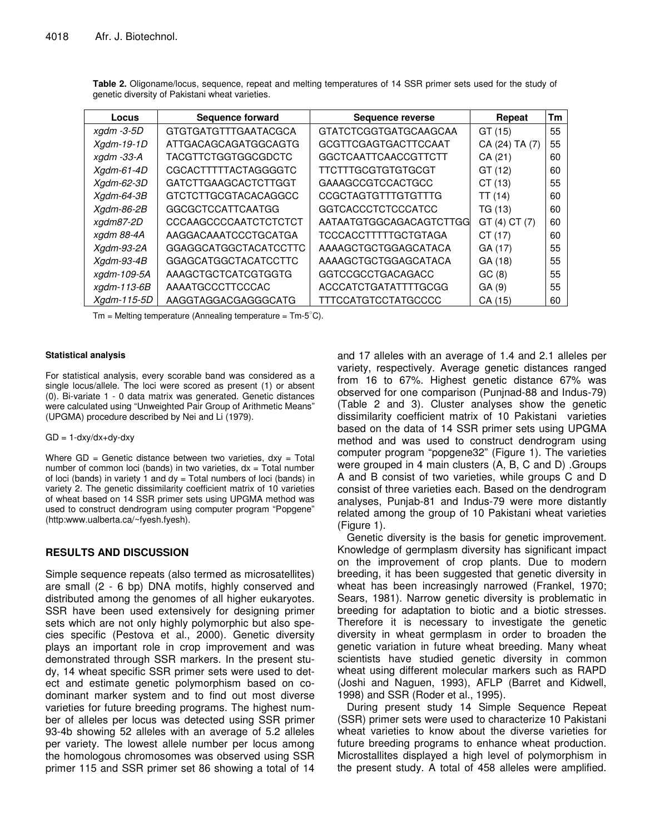| Locus            | Sequence forward             | Sequence reverse             | Repeat         | Тm |
|------------------|------------------------------|------------------------------|----------------|----|
| $x$ gdm -3-5D    | <b>GTGTGATGTTTGAATACGCA</b>  | <b>GTATCTCGGTGATGCAAGCAA</b> | GT (15)        | 55 |
| $Xgdm-19-1D$     | ATTGACAGCAGATGGCAGTG         | GCGTTCGAGTGACTTCCAAT         | CA (24) TA (7) | 55 |
| $x$ gdm -33-A    | <b>TACGTTCTGGTGGCGDCTC</b>   | <b>GGCTCAATTCAACCGTTCTT</b>  | CA(21)         | 60 |
| $Xgdm-61-4D$     | CGCACTTTTTACTAGGGGTC         | TTCTTTGCGTGTGTGCGT           | GT(12)         | 60 |
| Xadm-62-3D       | GATCTTGAAGCACTCTTGGT         | <b>GAAAGCCGTCCACTGCC</b>     | CT(13)         | 55 |
| $Xqdm-64-3B$     | GTCTCTTGCGTACACAGGCC         | <b>CCGCTAGTGTTTGTGTTTG</b>   | TT(14)         | 60 |
| Xadm-86-2B       | <b>GGCGCTCCATTCAATGG</b>     | <b>GGTCACCCTCTCCCATCC</b>    | TG (13)        | 60 |
| xgdm87-2D        | CCCAAGCCCCAATCTCTCTCT        | AATAATGTGGCAGACAGTCTTGG      | GT(4) CT(7)    | 60 |
| xgdm 88-4A       | AAGGACAAATCCCTGCATGA         | TCCCACCTTTTTGCTGTAGA         | CT(17)         | 60 |
| $Xqdm-93-2A$     | <b>GGAGGCATGGCTACATCCTTC</b> | AAAAGCTGCTGGAGCATACA         | GA (17)        | 55 |
| $X$ adm-93-4 $B$ | GGAGCATGGCTACATCCTTC         | AAAAGCTGCTGGAGCATACA         | GA (18)        | 55 |
| xgdm-109-5A      | AAAGCTGCTCATCGTGGTG          | <b>GGTCCGCCTGACAGACC</b>     | GC(8)          | 55 |
| xgdm-113-6B      | AAAATGCCCTTCCCAC             | ACCCATCTGATATTTTGCGG         | GA(9)          | 55 |
| Xadm-115-5D      | AAGGTAGGACGAGGGCATG          | TTTCCATGTCCTATGCCCC          | CA (15)        | 60 |

**Table 2.** Oligoname/locus, sequence, repeat and melting temperatures of 14 SSR primer sets used for the study of genetic diversity of Pakistani wheat varieties.

 $Tm =$  Melting temperature (Annealing temperature =  $Tm-5^{\circ}C$ ).

#### **Statistical analysis**

For statistical analysis, every scorable band was considered as a single locus/allele. The loci were scored as present (1) or absent (0). Bi-variate 1 - 0 data matrix was generated. Genetic distances were calculated using "Unweighted Pair Group of Arithmetic Means" (UPGMA) procedure described by Nei and Li (1979).

#### $GD = 1$ -dxy/dx+dy-dxy

Where  $GD = Genetic distance between two varieties,  $dx = Total$$ number of common loci (bands) in two varieties,  $dx = Total number$ of loci (bands) in variety 1 and  $dy = Total$  numbers of loci (bands) in variety 2. The genetic dissimilarity coefficient matrix of 10 varieties of wheat based on 14 SSR primer sets using UPGMA method was used to construct dendrogram using computer program "Popgene" (http:www.ualberta.ca/~fyesh.fyesh).

## **RESULTS AND DISCUSSION**

Simple sequence repeats (also termed as microsatellites) are small (2 - 6 bp) DNA motifs, highly conserved and distributed among the genomes of all higher eukaryotes. SSR have been used extensively for designing primer sets which are not only highly polymorphic but also species specific (Pestova et al., 2000). Genetic diversity plays an important role in crop improvement and was demonstrated through SSR markers. In the present study, 14 wheat specific SSR primer sets were used to detect and estimate genetic polymorphism based on codominant marker system and to find out most diverse varieties for future breeding programs. The highest number of alleles per locus was detected using SSR primer 93-4b showing 52 alleles with an average of 5.2 alleles per variety. The lowest allele number per locus among the homologous chromosomes was observed using SSR primer 115 and SSR primer set 86 showing a total of 14 and 17 alleles with an average of 1.4 and 2.1 alleles per variety, respectively. Average genetic distances ranged from 16 to 67%. Highest genetic distance 67% was observed for one comparison (Punjnad-88 and Indus-79) (Table 2 and 3). Cluster analyses show the genetic dissimilarity coefficient matrix of 10 Pakistani varieties based on the data of 14 SSR primer sets using UPGMA method and was used to construct dendrogram using computer program "popgene32" (Figure 1). The varieties were grouped in 4 main clusters (A, B, C and D) .Groups A and B consist of two varieties, while groups C and D consist of three varieties each. Based on the dendrogram analyses, Punjab-81 and Indus-79 were more distantly related among the group of 10 Pakistani wheat varieties (Figure 1).

Genetic diversity is the basis for genetic improvement. Knowledge of germplasm diversity has significant impact on the improvement of crop plants. Due to modern breeding, it has been suggested that genetic diversity in wheat has been increasingly narrowed (Frankel, 1970; Sears, 1981). Narrow genetic diversity is problematic in breeding for adaptation to biotic and a biotic stresses. Therefore it is necessary to investigate the genetic diversity in wheat germplasm in order to broaden the genetic variation in future wheat breeding. Many wheat scientists have studied genetic diversity in common wheat using different molecular markers such as RAPD (Joshi and Naguen, 1993), AFLP (Barret and Kidwell, 1998) and SSR (Roder et al., 1995).

During present study 14 Simple Sequence Repeat (SSR) primer sets were used to characterize 10 Pakistani wheat varieties to know about the diverse varieties for future breeding programs to enhance wheat production. Microstallites displayed a high level of polymorphism in the present study. A total of 458 alleles were amplified.